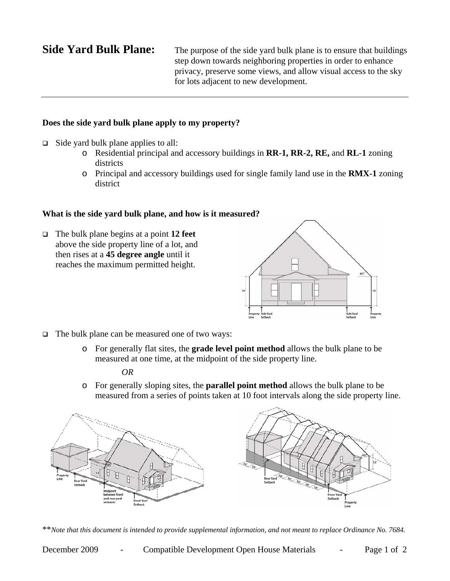**Side Yard Bulk Plane:** The purpose of the side yard bulk plane is to ensure that buildings step down towards neighboring properties in order to enhance privacy, preserve some views, and allow visual access to the sky for lots adjacent to new development.

## **Does the side yard bulk plane apply to my property?**

- $\Box$  Side yard bulk plane applies to all:
	- o Residential principal and accessory buildings in **RR-1, RR-2, RE,** and **RL-1** zoning districts
	- o Principal and accessory buildings used for single family land use in the **RMX-1** zoning district

## **What is the side yard bulk plane, and how is it measured?**

 The bulk plane begins at a point **12 feet** above the side property line of a lot, and then rises at a **45 degree angle** until it reaches the maximum permitted height.



- $\Box$  The bulk plane can be measured one of two ways:
	- o For generally flat sites, the **grade level point method** allows the bulk plane to be measured at one time, at the midpoint of the side property line.

### *OR*

o For generally sloping sites, the **parallel point method** allows the bulk plane to be measured from a series of points taken at 10 foot intervals along the side property line.



\*\**Note that this document is intended to provide supplemental information, and not meant to replace Ordinance No. 7684.*